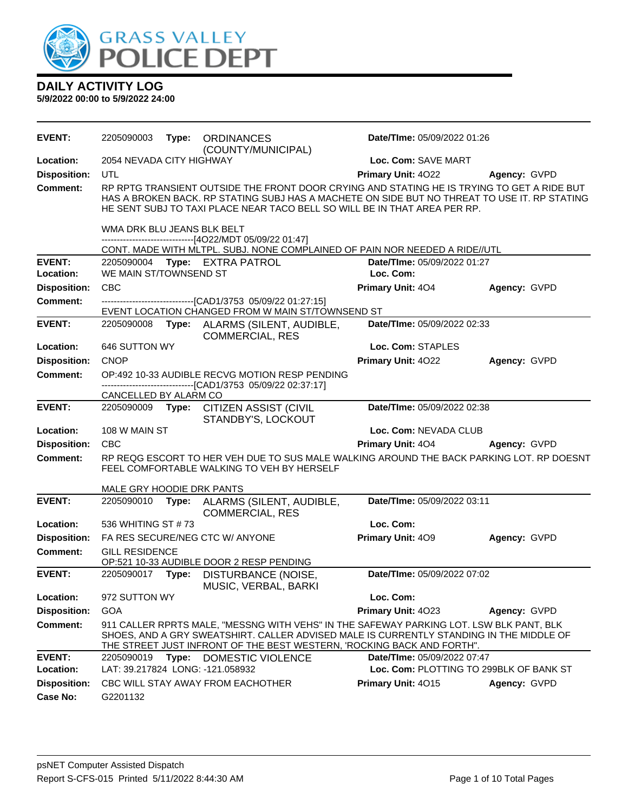

| <b>DAILY ACTIVITY LOG</b> |  |  |  |  |  |  |
|---------------------------|--|--|--|--|--|--|
|                           |  |  |  |  |  |  |

| <b>EVENT:</b>              | 2205090003                       |       | Type: ORDINANCES<br>(COUNTY/MUNICIPAL)                                                                                                                                                                                                                                  | Date/TIme: 05/09/2022 01:26              |              |
|----------------------------|----------------------------------|-------|-------------------------------------------------------------------------------------------------------------------------------------------------------------------------------------------------------------------------------------------------------------------------|------------------------------------------|--------------|
| Location:                  | 2054 NEVADA CITY HIGHWAY         |       |                                                                                                                                                                                                                                                                         | Loc. Com: SAVE MART                      |              |
| <b>Disposition:</b>        | UTL                              |       |                                                                                                                                                                                                                                                                         | Primary Unit: 4022                       | Agency: GVPD |
| <b>Comment:</b>            |                                  |       | RP RPTG TRANSIENT OUTSIDE THE FRONT DOOR CRYING AND STATING HE IS TRYING TO GET A RIDE BUT<br>HAS A BROKEN BACK. RP STATING SUBJ HAS A MACHETE ON SIDE BUT NO THREAT TO USE IT. RP STATING<br>HE SENT SUBJ TO TAXI PLACE NEAR TACO BELL SO WILL BE IN THAT AREA PER RP. |                                          |              |
|                            | WMA DRK BLU JEANS BLK BELT       |       | ------------------------------[4O22/MDT 05/09/22 01:47]                                                                                                                                                                                                                 |                                          |              |
|                            |                                  |       | CONT. MADE WITH MLTPL. SUBJ. NONE COMPLAINED OF PAIN NOR NEEDED A RIDE//UTL                                                                                                                                                                                             |                                          |              |
| <b>EVENT:</b><br>Location: | WE MAIN ST/TOWNSEND ST           |       | 2205090004 Type: EXTRA PATROL                                                                                                                                                                                                                                           | Date/TIme: 05/09/2022 01:27<br>Loc. Com: |              |
| <b>Disposition:</b>        | CBC                              |       |                                                                                                                                                                                                                                                                         | <b>Primary Unit: 404</b>                 | Agency: GVPD |
| <b>Comment:</b>            |                                  |       | -------------------------------[CAD1/3753 05/09/22 01:27:15]                                                                                                                                                                                                            |                                          |              |
|                            |                                  |       | EVENT LOCATION CHANGED FROM W MAIN ST/TOWNSEND ST                                                                                                                                                                                                                       |                                          |              |
| <b>EVENT:</b>              | 2205090008                       | Type: | ALARMS (SILENT, AUDIBLE,<br><b>COMMERCIAL, RES</b>                                                                                                                                                                                                                      | Date/TIme: 05/09/2022 02:33              |              |
| Location:                  | 646 SUTTON WY                    |       |                                                                                                                                                                                                                                                                         | Loc. Com: STAPLES                        |              |
| <b>Disposition:</b>        | <b>CNOP</b>                      |       |                                                                                                                                                                                                                                                                         | Primary Unit: 4022                       | Agency: GVPD |
| <b>Comment:</b>            |                                  |       | OP:492 10-33 AUDIBLE RECVG MOTION RESP PENDING<br>------------------------------[CAD1/3753 05/09/22 02:37:17]                                                                                                                                                           |                                          |              |
|                            | CANCELLED BY ALARM CO            |       |                                                                                                                                                                                                                                                                         |                                          |              |
| <b>EVENT:</b>              |                                  |       | 2205090009 Type: CITIZEN ASSIST (CIVIL<br>STANDBY'S, LOCKOUT                                                                                                                                                                                                            | Date/TIme: 05/09/2022 02:38              |              |
| Location:                  | 108 W MAIN ST                    |       |                                                                                                                                                                                                                                                                         | Loc. Com: NEVADA CLUB                    |              |
| <b>Disposition:</b>        | <b>CBC</b>                       |       |                                                                                                                                                                                                                                                                         | <b>Primary Unit: 404</b>                 | Agency: GVPD |
| <b>Comment:</b>            |                                  |       | RP REQG ESCORT TO HER VEH DUE TO SUS MALE WALKING AROUND THE BACK PARKING LOT. RP DOESNT<br>FEEL COMFORTABLE WALKING TO VEH BY HERSELF                                                                                                                                  |                                          |              |
|                            | MALE GRY HOODIE DRK PANTS        |       |                                                                                                                                                                                                                                                                         |                                          |              |
| <b>EVENT:</b>              | 2205090010                       | Type: | ALARMS (SILENT, AUDIBLE,<br><b>COMMERCIAL, RES</b>                                                                                                                                                                                                                      | Date/TIme: 05/09/2022 03:11              |              |
| Location:                  | 536 WHITING ST #73               |       |                                                                                                                                                                                                                                                                         | Loc. Com:                                |              |
| <b>Disposition:</b>        |                                  |       | FA RES SECURE/NEG CTC W/ ANYONE                                                                                                                                                                                                                                         | Primary Unit: 409                        | Agency: GVPD |
| <b>Comment:</b>            | <b>GILL RESIDENCE</b>            |       | OP:521 10-33 AUDIBLE DOOR 2 RESP PENDING                                                                                                                                                                                                                                |                                          |              |
| <b>EVENT:</b>              | 2205090017 Type:                 |       | DISTURBANCE (NOISE,<br>MUSIC, VERBAL, BARKI                                                                                                                                                                                                                             | Date/TIme: 05/09/2022 07:02              |              |
| Location:                  | 972 SUTTON WY                    |       |                                                                                                                                                                                                                                                                         | Loc. Com:                                |              |
| <b>Disposition:</b>        | GOA                              |       |                                                                                                                                                                                                                                                                         | Primary Unit: 4023                       | Agency: GVPD |
| Comment:                   |                                  |       | 911 CALLER RPRTS MALE, "MESSNG WITH VEHS" IN THE SAFEWAY PARKING LOT. LSW BLK PANT, BLK<br>SHOES, AND A GRY SWEATSHIRT. CALLER ADVISED MALE IS CURRENTLY STANDING IN THE MIDDLE OF<br>THE STREET JUST INFRONT OF THE BEST WESTERN, 'ROCKING BACK AND FORTH".            |                                          |              |
| <b>EVENT:</b>              | 2205090019                       | Type: | DOMESTIC VIOLENCE                                                                                                                                                                                                                                                       | Date/TIme: 05/09/2022 07:47              |              |
| Location:                  | LAT: 39.217824 LONG: -121.058932 |       |                                                                                                                                                                                                                                                                         | Loc. Com: PLOTTING TO 299BLK OF BANK ST  |              |
| <b>Disposition:</b>        |                                  |       | CBC WILL STAY AWAY FROM EACHOTHER                                                                                                                                                                                                                                       | Primary Unit: 4015                       | Agency: GVPD |
| Case No:                   | G2201132                         |       |                                                                                                                                                                                                                                                                         |                                          |              |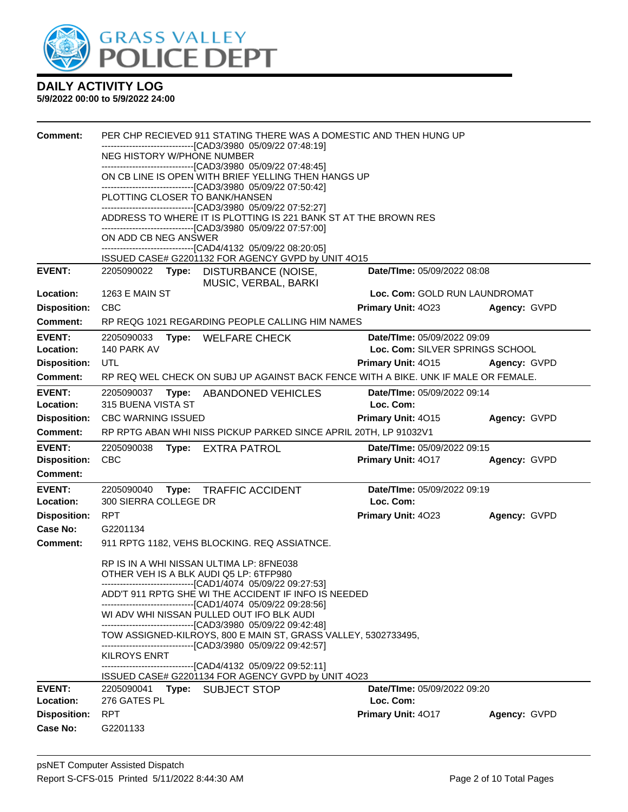

| <b>Comment:</b>                        | PER CHP RECIEVED 911 STATING THERE WAS A DOMESTIC AND THEN HUNG UP<br>-------------------------[CAD3/3980_05/09/22 07:48:19]<br>NEG HISTORY W/PHONE NUMBER<br>-------------------------------[CAD3/3980 05/09/22 07:48:45]<br>ON CB LINE IS OPEN WITH BRIEF YELLING THEN HANGS UP<br>-------------------------------[CAD3/3980 05/09/22 07:50:42]<br>PLOTTING CLOSER TO BANK/HANSEN |                                          |              |
|----------------------------------------|-------------------------------------------------------------------------------------------------------------------------------------------------------------------------------------------------------------------------------------------------------------------------------------------------------------------------------------------------------------------------------------|------------------------------------------|--------------|
|                                        | -------------------------------[CAD3/3980 05/09/22 07:52:27]<br>ADDRESS TO WHERE IT IS PLOTTING IS 221 BANK ST AT THE BROWN RES                                                                                                                                                                                                                                                     |                                          |              |
|                                        | -------------------------------[CAD3/3980 05/09/22 07:57:00]<br>ON ADD CB NEG ANSWER                                                                                                                                                                                                                                                                                                |                                          |              |
|                                        | ------------------------------[CAD4/4132 05/09/22 08:20:05]<br>ISSUED CASE# G2201132 FOR AGENCY GVPD by UNIT 4O15                                                                                                                                                                                                                                                                   |                                          |              |
| <b>EVENT:</b>                          | 2205090022 Type: DISTURBANCE (NOISE,<br>MUSIC, VERBAL, BARKI                                                                                                                                                                                                                                                                                                                        | Date/TIme: 05/09/2022 08:08              |              |
| Location:                              | <b>1263 E MAIN ST</b>                                                                                                                                                                                                                                                                                                                                                               | Loc. Com: GOLD RUN LAUNDROMAT            |              |
| <b>Disposition:</b>                    | <b>CBC</b>                                                                                                                                                                                                                                                                                                                                                                          | <b>Primary Unit: 4023</b>                | Agency: GVPD |
| Comment:                               | RP REQG 1021 REGARDING PEOPLE CALLING HIM NAMES                                                                                                                                                                                                                                                                                                                                     |                                          |              |
| <b>EVENT:</b>                          | 2205090033<br>Type: WELFARE CHECK                                                                                                                                                                                                                                                                                                                                                   | Date/TIme: 05/09/2022 09:09              |              |
| Location:                              | 140 PARK AV                                                                                                                                                                                                                                                                                                                                                                         | Loc. Com: SILVER SPRINGS SCHOOL          |              |
| <b>Disposition:</b>                    | UTL                                                                                                                                                                                                                                                                                                                                                                                 | <b>Primary Unit: 4015</b>                | Agency: GVPD |
| <b>Comment:</b>                        | RP REQ WEL CHECK ON SUBJ UP AGAINST BACK FENCE WITH A BIKE. UNK IF MALE OR FEMALE.                                                                                                                                                                                                                                                                                                  |                                          |              |
| <b>EVENT:</b><br>Location:             | 2205090037<br>Type:<br>ABANDONED VEHICLES<br>315 BUENA VISTA ST                                                                                                                                                                                                                                                                                                                     | Date/TIme: 05/09/2022 09:14<br>Loc. Com: |              |
| <b>Disposition:</b>                    | <b>CBC WARNING ISSUED</b>                                                                                                                                                                                                                                                                                                                                                           | Primary Unit: 4015                       | Agency: GVPD |
| Comment:                               | RP RPTG ABAN WHI NISS PICKUP PARKED SINCE APRIL 20TH, LP 91032V1                                                                                                                                                                                                                                                                                                                    |                                          |              |
| <b>EVENT:</b>                          | 2205090038<br><b>EXTRA PATROL</b><br>Type:                                                                                                                                                                                                                                                                                                                                          | <b>Date/Time: 05/09/2022 09:15</b>       |              |
| <b>Disposition:</b>                    | <b>CBC</b>                                                                                                                                                                                                                                                                                                                                                                          | Primary Unit: 4017                       | Agency: GVPD |
| <b>Comment:</b>                        |                                                                                                                                                                                                                                                                                                                                                                                     |                                          |              |
| <b>EVENT:</b><br>Location:             | 2205090040<br>Type:<br><b>TRAFFIC ACCIDENT</b><br>300 SIERRA COLLEGE DR                                                                                                                                                                                                                                                                                                             | Date/TIme: 05/09/2022 09:19<br>Loc. Com: |              |
| <b>Disposition:</b>                    | <b>RPT</b>                                                                                                                                                                                                                                                                                                                                                                          | Primary Unit: 4023                       | Agency: GVPD |
| Case No:                               | G2201134                                                                                                                                                                                                                                                                                                                                                                            |                                          |              |
| <b>Comment:</b>                        | 911 RPTG 1182, VEHS BLOCKING. REQ ASSIATNCE.                                                                                                                                                                                                                                                                                                                                        |                                          |              |
|                                        | RP IS IN A WHI NISSAN ULTIMA LP: 8FNE038<br>OTHER VEH IS A BLK AUDI Q5 LP: 6TFP980<br>--------------------------------[CAD1/4074_05/09/22 09:27:53]                                                                                                                                                                                                                                 |                                          |              |
|                                        | ADD'T 911 RPTG SHE WI THE ACCIDENT IF INFO IS NEEDED                                                                                                                                                                                                                                                                                                                                |                                          |              |
|                                        | ----------------------------[CAD1/4074_05/09/22 09:28:56]<br>WI ADV WHI NISSAN PULLED OUT IFO BLK AUDI                                                                                                                                                                                                                                                                              |                                          |              |
|                                        | -------------------------------[CAD3/3980 05/09/22 09:42:48]                                                                                                                                                                                                                                                                                                                        |                                          |              |
|                                        | TOW ASSIGNED-KILROYS, 800 E MAIN ST, GRASS VALLEY, 5302733495,<br>-------------------------------[CAD3/3980 05/09/22 09:42:57]                                                                                                                                                                                                                                                      |                                          |              |
|                                        | <b>KILROYS ENRT</b>                                                                                                                                                                                                                                                                                                                                                                 |                                          |              |
|                                        | -------------------------------[CAD4/4132 05/09/22 09:52:11]<br>ISSUED CASE# G2201134 FOR AGENCY GVPD by UNIT 4O23                                                                                                                                                                                                                                                                  |                                          |              |
| <b>EVENT:</b><br>Location:             | 2205090041<br><b>SUBJECT STOP</b><br>Type:<br>276 GATES PL                                                                                                                                                                                                                                                                                                                          | Date/TIme: 05/09/2022 09:20<br>Loc. Com: |              |
|                                        |                                                                                                                                                                                                                                                                                                                                                                                     |                                          |              |
|                                        |                                                                                                                                                                                                                                                                                                                                                                                     |                                          |              |
| <b>Disposition:</b><br><b>Case No:</b> | <b>RPT</b><br>G2201133                                                                                                                                                                                                                                                                                                                                                              | Primary Unit: 4017                       | Agency: GVPD |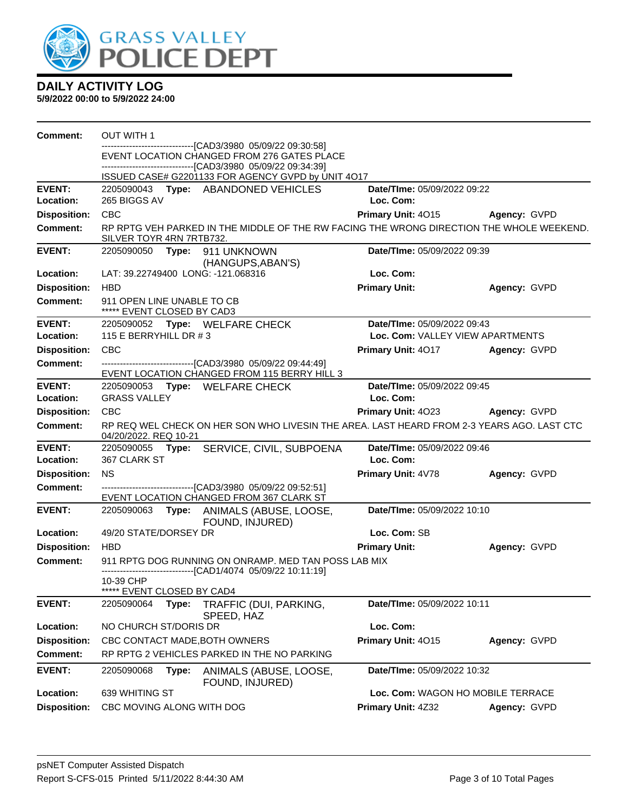

| Comment:            | <b>OUT WITH 1</b>                                                                                                                                                   |                                   |              |
|---------------------|---------------------------------------------------------------------------------------------------------------------------------------------------------------------|-----------------------------------|--------------|
|                     | ------------------------------[CAD3/3980_05/09/22_09:30:58]<br>EVENT LOCATION CHANGED FROM 276 GATES PLACE<br>------------------------[CAD3/3980_05/09/22_09:34:39] |                                   |              |
|                     | ISSUED CASE# G2201133 FOR AGENCY GVPD by UNIT 4017                                                                                                                  |                                   |              |
| <b>EVENT:</b>       | 2205090043 Type: ABANDONED VEHICLES                                                                                                                                 | Date/TIme: 05/09/2022 09:22       |              |
| Location:           | 265 BIGGS AV                                                                                                                                                        | Loc. Com:                         |              |
| <b>Disposition:</b> | <b>CBC</b>                                                                                                                                                          | Primary Unit: 4015                | Agency: GVPD |
| <b>Comment:</b>     | RP RPTG VEH PARKED IN THE MIDDLE OF THE RW FACING THE WRONG DIRECTION THE WHOLE WEEKEND.<br>SILVER TOYR 4RN 7RTB732.                                                |                                   |              |
| <b>EVENT:</b>       | 2205090050<br>Type: 911 UNKNOWN<br>(HANGUPS, ABAN'S)                                                                                                                | Date/TIme: 05/09/2022 09:39       |              |
| Location:           | LAT: 39.22749400 LONG: -121.068316                                                                                                                                  | Loc. Com:                         |              |
| <b>Disposition:</b> | <b>HBD</b>                                                                                                                                                          | <b>Primary Unit:</b>              | Agency: GVPD |
| <b>Comment:</b>     | 911 OPEN LINE UNABLE TO CB<br>***** EVENT CLOSED BY CAD3                                                                                                            |                                   |              |
| <b>EVENT:</b>       | 2205090052 Type: WELFARE CHECK                                                                                                                                      | Date/TIme: 05/09/2022 09:43       |              |
| Location:           | 115 E BERRYHILL DR #3                                                                                                                                               | Loc. Com: VALLEY VIEW APARTMENTS  |              |
| <b>Disposition:</b> | <b>CBC</b>                                                                                                                                                          | Primary Unit: 4017                | Agency: GVPD |
| <b>Comment:</b>     | ---------------------------------[CAD3/3980_05/09/22_09:44:49]<br>EVENT LOCATION CHANGED FROM 115 BERRY HILL 3                                                      |                                   |              |
| <b>EVENT:</b>       | 2205090053 Type: WELFARE CHECK                                                                                                                                      | Date/TIme: 05/09/2022 09:45       |              |
| Location:           | <b>GRASS VALLEY</b>                                                                                                                                                 | Loc. Com:                         |              |
| <b>Disposition:</b> | <b>CBC</b>                                                                                                                                                          | Primary Unit: 4023                | Agency: GVPD |
| <b>Comment:</b>     | RP REQ WEL CHECK ON HER SON WHO LIVESIN THE AREA. LAST HEARD FROM 2-3 YEARS AGO. LAST CTC<br>04/20/2022. REQ 10-21                                                  |                                   |              |
| <b>EVENT:</b>       | 2205090055 Type: SERVICE, CIVIL, SUBPOENA                                                                                                                           | Date/TIme: 05/09/2022 09:46       |              |
| Location:           | 367 CLARK ST                                                                                                                                                        | Loc. Com:                         |              |
| <b>Disposition:</b> | <b>NS</b>                                                                                                                                                           | Primary Unit: 4V78                | Agency: GVPD |
| <b>Comment:</b>     | --------------------------------[CAD3/3980_05/09/22_09:52:51]                                                                                                       |                                   |              |
|                     | EVENT LOCATION CHANGED FROM 367 CLARK ST                                                                                                                            |                                   |              |
| <b>EVENT:</b>       | 2205090063 Type: ANIMALS (ABUSE, LOOSE,<br>FOUND, INJURED)                                                                                                          | Date/TIme: 05/09/2022 10:10       |              |
| Location:           | 49/20 STATE/DORSEY DR                                                                                                                                               | Loc. Com: SB                      |              |
| <b>Disposition:</b> | <b>HBD</b>                                                                                                                                                          | <b>Primary Unit:</b>              | Agency: GVPD |
| <b>Comment:</b>     | 911 RPTG DOG RUNNING ON ONRAMP. MED TAN POSS LAB MIX                                                                                                                |                                   |              |
|                     | ------------------------------[CAD1/4074_05/09/22 10:11:19]                                                                                                         |                                   |              |
|                     | 10-39 CHP<br>$*****$<br>EVENT CLOSED BY CAD4                                                                                                                        |                                   |              |
| <b>EVENT:</b>       | 2205090064<br>Type:<br>TRAFFIC (DUI, PARKING,                                                                                                                       | Date/TIme: 05/09/2022 10:11       |              |
| Location:           | SPEED, HAZ<br>NO CHURCH ST/DORIS DR                                                                                                                                 | Loc. Com:                         |              |
| <b>Disposition:</b> | CBC CONTACT MADE, BOTH OWNERS                                                                                                                                       | Primary Unit: 4015                | Agency: GVPD |
| <b>Comment:</b>     | RP RPTG 2 VEHICLES PARKED IN THE NO PARKING                                                                                                                         |                                   |              |
| <b>EVENT:</b>       | 2205090068<br>Type:                                                                                                                                                 | Date/TIme: 05/09/2022 10:32       |              |
|                     | ANIMALS (ABUSE, LOOSE,<br>FOUND, INJURED)                                                                                                                           |                                   |              |
| Location:           | 639 WHITING ST                                                                                                                                                      | Loc. Com: WAGON HO MOBILE TERRACE |              |
| <b>Disposition:</b> | CBC MOVING ALONG WITH DOG                                                                                                                                           | Primary Unit: 4Z32                | Agency: GVPD |
|                     |                                                                                                                                                                     |                                   |              |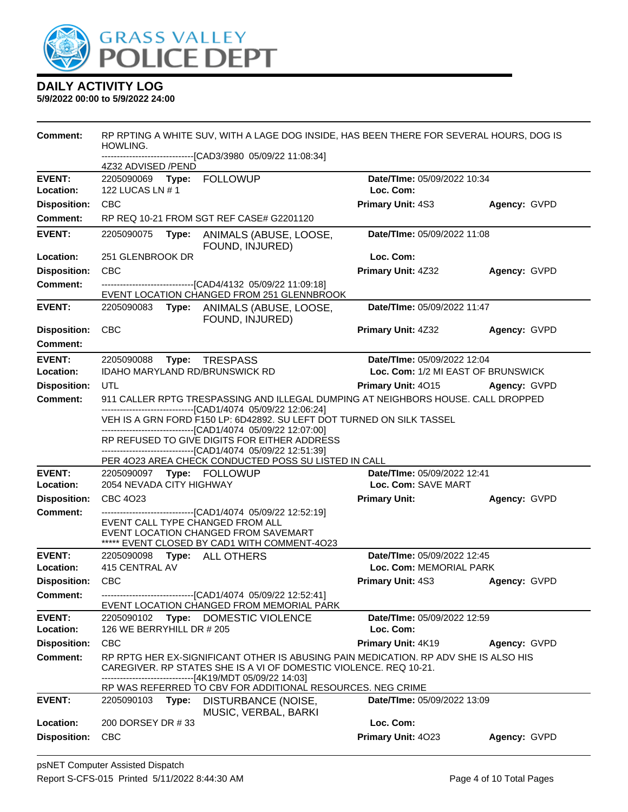

| Comment:                   | RP RPTING A WHITE SUV, WITH A LAGE DOG INSIDE, HAS BEEN THERE FOR SEVERAL HOURS, DOG IS<br>HOWLING.<br>-------------------------------[CAD3/3980 05/09/22 11:08:34]                                  |                                                                                                                                                                                                                                                                       |                                                        |              |  |  |  |
|----------------------------|------------------------------------------------------------------------------------------------------------------------------------------------------------------------------------------------------|-----------------------------------------------------------------------------------------------------------------------------------------------------------------------------------------------------------------------------------------------------------------------|--------------------------------------------------------|--------------|--|--|--|
|                            | 4Z32 ADVISED /PEND                                                                                                                                                                                   |                                                                                                                                                                                                                                                                       |                                                        |              |  |  |  |
| <b>EVENT:</b><br>Location: | 122 LUCAS LN # 1                                                                                                                                                                                     |                                                                                                                                                                                                                                                                       | Date/TIme: 05/09/2022 10:34<br>Loc. Com:               |              |  |  |  |
| <b>Disposition:</b>        | <b>CBC</b>                                                                                                                                                                                           |                                                                                                                                                                                                                                                                       | <b>Primary Unit: 4S3</b>                               | Agency: GVPD |  |  |  |
| <b>Comment:</b>            |                                                                                                                                                                                                      | RP REQ 10-21 FROM SGT REF CASE# G2201120                                                                                                                                                                                                                              |                                                        |              |  |  |  |
| <b>EVENT:</b>              | 2205090075<br>Type:                                                                                                                                                                                  | ANIMALS (ABUSE, LOOSE,<br>FOUND, INJURED)                                                                                                                                                                                                                             | Date/TIme: 05/09/2022 11:08                            |              |  |  |  |
| Location:                  | 251 GLENBROOK DR                                                                                                                                                                                     |                                                                                                                                                                                                                                                                       | Loc. Com:                                              |              |  |  |  |
| <b>Disposition:</b>        | <b>CBC</b>                                                                                                                                                                                           |                                                                                                                                                                                                                                                                       | Primary Unit: 4Z32                                     | Agency: GVPD |  |  |  |
| <b>Comment:</b>            |                                                                                                                                                                                                      | --------------------------------[CAD4/4132 05/09/22 11:09:18]<br>EVENT LOCATION CHANGED FROM 251 GLENNBROOK                                                                                                                                                           |                                                        |              |  |  |  |
| <b>EVENT:</b>              |                                                                                                                                                                                                      | 2205090083 Type: ANIMALS (ABUSE, LOOSE,<br>FOUND, INJURED)                                                                                                                                                                                                            | Date/TIme: 05/09/2022 11:47                            |              |  |  |  |
| <b>Disposition:</b>        | <b>CBC</b>                                                                                                                                                                                           |                                                                                                                                                                                                                                                                       | Primary Unit: 4Z32                                     | Agency: GVPD |  |  |  |
| <b>Comment:</b>            |                                                                                                                                                                                                      |                                                                                                                                                                                                                                                                       |                                                        |              |  |  |  |
| <b>EVENT:</b>              | 2205090088 Type: TRESPASS                                                                                                                                                                            |                                                                                                                                                                                                                                                                       | Date/TIme: 05/09/2022 12:04                            |              |  |  |  |
| Location:                  | IDAHO MARYLAND RD/BRUNSWICK RD                                                                                                                                                                       |                                                                                                                                                                                                                                                                       | Loc. Com: 1/2 MI EAST OF BRUNSWICK                     |              |  |  |  |
| <b>Disposition:</b>        | UTL                                                                                                                                                                                                  |                                                                                                                                                                                                                                                                       | Primary Unit: 4015                                     | Agency: GVPD |  |  |  |
| <b>Comment:</b>            |                                                                                                                                                                                                      | 911 CALLER RPTG TRESPASSING AND ILLEGAL DUMPING AT NEIGHBORS HOUSE. CALL DROPPED                                                                                                                                                                                      |                                                        |              |  |  |  |
|                            | ------------------------------[CAD1/4074 05/09/22 12:06:24]<br>VEH IS A GRN FORD F150 LP: 6D42892. SU LEFT DOT TURNED ON SILK TASSEL<br>-------------------------------[CAD1/4074 05/09/22 12:07:00] |                                                                                                                                                                                                                                                                       |                                                        |              |  |  |  |
|                            |                                                                                                                                                                                                      | RP REFUSED TO GIVE DIGITS FOR EITHER ADDRESS<br>-------------------------------[CAD1/4074 05/09/22 12:51:39]<br>PER 4023 AREA CHECK CONDUCTED POSS SU LISTED IN CALL                                                                                                  |                                                        |              |  |  |  |
| <b>EVENT:</b>              |                                                                                                                                                                                                      |                                                                                                                                                                                                                                                                       | Date/TIme: 05/09/2022 12:41                            |              |  |  |  |
| Location:                  | 2054 NEVADA CITY HIGHWAY                                                                                                                                                                             |                                                                                                                                                                                                                                                                       | Loc. Com: SAVE MART                                    |              |  |  |  |
| <b>Disposition:</b>        | CBC 4023                                                                                                                                                                                             |                                                                                                                                                                                                                                                                       | <b>Primary Unit:</b>                                   | Agency: GVPD |  |  |  |
| <b>Comment:</b>            | EVENT CALL TYPE CHANGED FROM ALL                                                                                                                                                                     | -------------------------------[CAD1/4074 05/09/22 12:52:19]<br>EVENT LOCATION CHANGED FROM SAVEMART<br>***** EVENT CLOSED BY CAD1 WITH COMMENT-4O23                                                                                                                  |                                                        |              |  |  |  |
| <b>EVENT:</b><br>Location: | 2205090098 Type: ALL OTHERS<br>415 CENTRAL AV                                                                                                                                                        |                                                                                                                                                                                                                                                                       | Date/TIme: 05/09/2022 12:45<br>Loc. Com: MEMORIAL PARK |              |  |  |  |
| <b>Disposition:</b>        | <b>CBC</b>                                                                                                                                                                                           |                                                                                                                                                                                                                                                                       | Primary Unit: 4S3                                      | Agency: GVPD |  |  |  |
| Comment:                   |                                                                                                                                                                                                      | -------------------------------[CAD1/4074 05/09/22 12:52:41]<br>EVENT LOCATION CHANGED FROM MEMORIAL PARK                                                                                                                                                             |                                                        |              |  |  |  |
| <b>EVENT:</b><br>Location: | 126 WE BERRYHILL DR # 205                                                                                                                                                                            | 2205090102 Type: DOMESTIC VIOLENCE                                                                                                                                                                                                                                    | Date/TIme: 05/09/2022 12:59<br>Loc. Com:               |              |  |  |  |
| <b>Disposition:</b>        | <b>CBC</b>                                                                                                                                                                                           |                                                                                                                                                                                                                                                                       | Primary Unit: 4K19                                     | Agency: GVPD |  |  |  |
| <b>Comment:</b>            |                                                                                                                                                                                                      | RP RPTG HER EX-SIGNIFICANT OTHER IS ABUSING PAIN MEDICATION. RP ADV SHE IS ALSO HIS<br>CAREGIVER. RP STATES SHE IS A VI OF DOMESTIC VIOLENCE. REQ 10-21.<br>------------------[4K19/MDT 05/09/22 14:03]<br>RP WAS REFERRED TO CBV FOR ADDITIONAL RESOURCES. NEG CRIME |                                                        |              |  |  |  |
| <b>EVENT:</b>              | 2205090103<br>Type:                                                                                                                                                                                  | DISTURBANCE (NOISE,<br>MUSIC, VERBAL, BARKI                                                                                                                                                                                                                           | Date/TIme: 05/09/2022 13:09                            |              |  |  |  |
| Location:                  | 200 DORSEY DR #33                                                                                                                                                                                    |                                                                                                                                                                                                                                                                       | Loc. Com:                                              |              |  |  |  |
| <b>Disposition:</b>        | <b>CBC</b>                                                                                                                                                                                           |                                                                                                                                                                                                                                                                       | Primary Unit: 4023                                     | Agency: GVPD |  |  |  |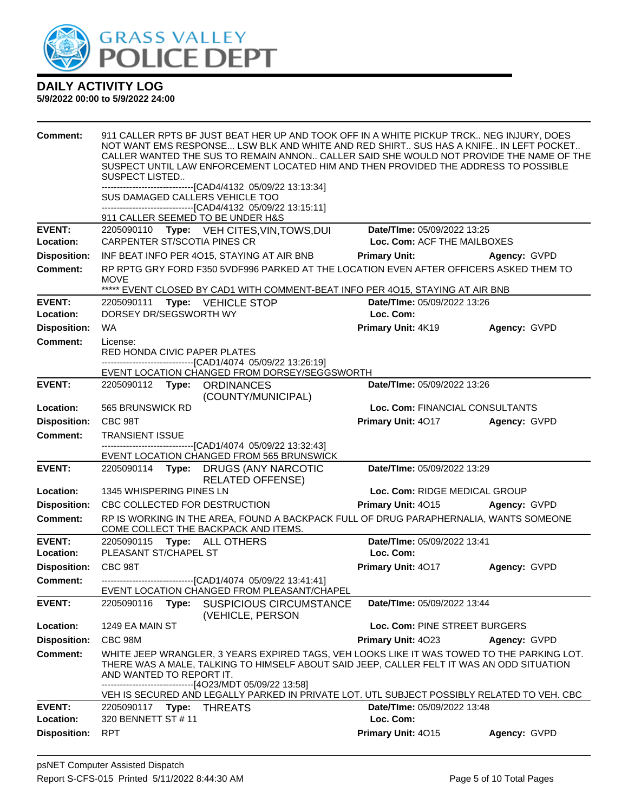

| <b>Comment:</b>                   | 911 CALLER RPTS BF JUST BEAT HER UP AND TOOK OFF IN A WHITE PICKUP TRCK NEG INJURY, DOES<br>NOT WANT EMS RESPONSE LSW BLK AND WHITE AND RED SHIRT SUS HAS A KNIFE IN LEFT POCKET<br>CALLER WANTED THE SUS TO REMAIN ANNON CALLER SAID SHE WOULD NOT PROVIDE THE NAME OF THE<br>SUSPECT UNTIL LAW ENFORCEMENT LOCATED HIM AND THEN PROVIDED THE ADDRESS TO POSSIBLE<br>SUSPECT LISTED<br>--------------------------------[CAD4/4132 05/09/22 13:13:34] |                                 |                     |  |  |  |
|-----------------------------------|-------------------------------------------------------------------------------------------------------------------------------------------------------------------------------------------------------------------------------------------------------------------------------------------------------------------------------------------------------------------------------------------------------------------------------------------------------|---------------------------------|---------------------|--|--|--|
|                                   | SUS DAMAGED CALLERS VEHICLE TOO<br>-------------------------------[CAD4/4132 05/09/22 13:15:11]                                                                                                                                                                                                                                                                                                                                                       |                                 |                     |  |  |  |
|                                   | 911 CALLER SEEMED TO BE UNDER H&S                                                                                                                                                                                                                                                                                                                                                                                                                     |                                 |                     |  |  |  |
| <b>EVENT:</b><br><b>Location:</b> | 2205090110 Type: VEH CITES, VIN, TOWS, DUI<br>Date/TIme: 05/09/2022 13:25<br><b>CARPENTER ST/SCOTIA PINES CR</b><br>Loc. Com: ACF THE MAILBOXES                                                                                                                                                                                                                                                                                                       |                                 |                     |  |  |  |
|                                   | INF BEAT INFO PER 4015, STAYING AT AIR BNB                                                                                                                                                                                                                                                                                                                                                                                                            |                                 |                     |  |  |  |
| <b>Disposition:</b>               |                                                                                                                                                                                                                                                                                                                                                                                                                                                       | <b>Primary Unit:</b>            | Agency: GVPD        |  |  |  |
| <b>Comment:</b>                   | RP RPTG GRY FORD F350 5VDF996 PARKED AT THE LOCATION EVEN AFTER OFFICERS ASKED THEM TO<br><b>MOVE</b><br>***** EVENT CLOSED BY CAD1 WITH COMMENT-BEAT INFO PER 4015, STAYING AT AIR BNB                                                                                                                                                                                                                                                               |                                 |                     |  |  |  |
| <b>EVENT:</b>                     | 2205090111<br>Type: VEHICLE STOP                                                                                                                                                                                                                                                                                                                                                                                                                      | Date/TIme: 05/09/2022 13:26     |                     |  |  |  |
| Location:                         | DORSEY DR/SEGSWORTH WY                                                                                                                                                                                                                                                                                                                                                                                                                                | Loc. Com:                       |                     |  |  |  |
| <b>Disposition:</b>               | <b>WA</b>                                                                                                                                                                                                                                                                                                                                                                                                                                             | Primary Unit: 4K19              | Agency: GVPD        |  |  |  |
| <b>Comment:</b>                   | License:<br>RED HONDA CIVIC PAPER PLATES                                                                                                                                                                                                                                                                                                                                                                                                              |                                 |                     |  |  |  |
|                                   | -------------------------------[CAD1/4074 05/09/22 13:26:19]                                                                                                                                                                                                                                                                                                                                                                                          |                                 |                     |  |  |  |
|                                   | EVENT LOCATION CHANGED FROM DORSEY/SEGGSWORTH                                                                                                                                                                                                                                                                                                                                                                                                         |                                 |                     |  |  |  |
| <b>EVENT:</b>                     | 2205090112 Type: ORDINANCES<br>(COUNTY/MUNICIPAL)                                                                                                                                                                                                                                                                                                                                                                                                     | Date/TIme: 05/09/2022 13:26     |                     |  |  |  |
| Location:                         | 565 BRUNSWICK RD                                                                                                                                                                                                                                                                                                                                                                                                                                      | Loc. Com: FINANCIAL CONSULTANTS |                     |  |  |  |
| <b>Disposition:</b>               | CBC 98T                                                                                                                                                                                                                                                                                                                                                                                                                                               | <b>Primary Unit: 4017</b>       | Agency: GVPD        |  |  |  |
| <b>Comment:</b>                   | <b>TRANSIENT ISSUE</b>                                                                                                                                                                                                                                                                                                                                                                                                                                |                                 |                     |  |  |  |
|                                   | -------------------------------[CAD1/4074_05/09/22 13:32:43]<br>EVENT LOCATION CHANGED FROM 565 BRUNSWICK                                                                                                                                                                                                                                                                                                                                             |                                 |                     |  |  |  |
| <b>EVENT:</b>                     | Type: DRUGS (ANY NARCOTIC<br>2205090114<br><b>RELATED OFFENSE)</b>                                                                                                                                                                                                                                                                                                                                                                                    | Date/TIme: 05/09/2022 13:29     |                     |  |  |  |
| Location:                         | 1345 WHISPERING PINES LN                                                                                                                                                                                                                                                                                                                                                                                                                              | Loc. Com: RIDGE MEDICAL GROUP   |                     |  |  |  |
| <b>Disposition:</b>               | CBC COLLECTED FOR DESTRUCTION                                                                                                                                                                                                                                                                                                                                                                                                                         | Primary Unit: 4015              | <b>Agency: GVPD</b> |  |  |  |
| <b>Comment:</b>                   | RP IS WORKING IN THE AREA, FOUND A BACKPACK FULL OF DRUG PARAPHERNALIA, WANTS SOMEONE<br>COME COLLECT THE BACKPACK AND ITEMS.                                                                                                                                                                                                                                                                                                                         |                                 |                     |  |  |  |
| <b>EVENT:</b>                     | 2205090115 Type: ALL OTHERS                                                                                                                                                                                                                                                                                                                                                                                                                           | Date/TIme: 05/09/2022 13:41     |                     |  |  |  |
| Location:                         | PLEASANT ST/CHAPEL ST                                                                                                                                                                                                                                                                                                                                                                                                                                 | Loc. Com:                       |                     |  |  |  |
| <b>Disposition:</b>               | CBC 98T                                                                                                                                                                                                                                                                                                                                                                                                                                               | Primary Unit: 4017              | Agency: GVPD        |  |  |  |
| <b>Comment:</b>                   | ----------------------------------[CAD1/4074 05/09/22 13:41:41]<br>EVENT LOCATION CHANGED FROM PLEASANT/CHAPEL                                                                                                                                                                                                                                                                                                                                        |                                 |                     |  |  |  |
| <b>EVENT:</b>                     | 2205090116<br><b>SUSPICIOUS CIRCUMSTANCE</b><br>Type:<br>(VEHICLE, PERSON                                                                                                                                                                                                                                                                                                                                                                             | Date/TIme: 05/09/2022 13:44     |                     |  |  |  |
| Location:                         | 1249 EA MAIN ST                                                                                                                                                                                                                                                                                                                                                                                                                                       | Loc. Com: PINE STREET BURGERS   |                     |  |  |  |
| <b>Disposition:</b>               | CBC 98M                                                                                                                                                                                                                                                                                                                                                                                                                                               | Primary Unit: 4023              | Agency: GVPD        |  |  |  |
| <b>Comment:</b>                   | WHITE JEEP WRANGLER, 3 YEARS EXPIRED TAGS, VEH LOOKS LIKE IT WAS TOWED TO THE PARKING LOT.<br>THERE WAS A MALE, TALKING TO HIMSELF ABOUT SAID JEEP, CALLER FELT IT WAS AN ODD SITUATION<br>AND WANTED TO REPORT IT.<br>-------------------------------[4O23/MDT 05/09/22 13:58]                                                                                                                                                                       |                                 |                     |  |  |  |
|                                   | VEH IS SECURED AND LEGALLY PARKED IN PRIVATE LOT. UTL SUBJECT POSSIBLY RELATED TO VEH. CBC                                                                                                                                                                                                                                                                                                                                                            |                                 |                     |  |  |  |
| <b>EVENT:</b>                     | 2205090117 Type: THREATS                                                                                                                                                                                                                                                                                                                                                                                                                              | Date/TIme: 05/09/2022 13:48     |                     |  |  |  |
| Location:                         | 320 BENNETT ST # 11                                                                                                                                                                                                                                                                                                                                                                                                                                   | Loc. Com:                       |                     |  |  |  |
| <b>Disposition:</b>               | <b>RPT</b>                                                                                                                                                                                                                                                                                                                                                                                                                                            | Primary Unit: 4015              | Agency: GVPD        |  |  |  |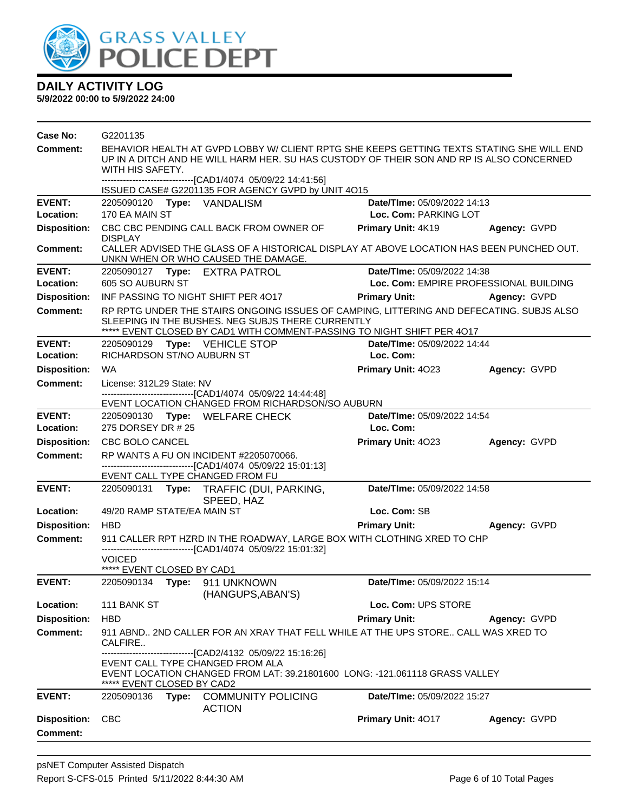

| Case No:                               | G2201135                                                                                                                                                                                                                                                                 |       |                                                                                                                   |                                                                                                                                                                     |                                        |  |
|----------------------------------------|--------------------------------------------------------------------------------------------------------------------------------------------------------------------------------------------------------------------------------------------------------------------------|-------|-------------------------------------------------------------------------------------------------------------------|---------------------------------------------------------------------------------------------------------------------------------------------------------------------|----------------------------------------|--|
| Comment:                               | BEHAVIOR HEALTH AT GVPD LOBBY W/ CLIENT RPTG SHE KEEPS GETTING TEXTS STATING SHE WILL END<br>UP IN A DITCH AND HE WILL HARM HER. SU HAS CUSTODY OF THEIR SON AND RP IS ALSO CONCERNED<br>WITH HIS SAFETY.<br>------------------------------[CAD1/4074 05/09/22 14:41:56] |       |                                                                                                                   |                                                                                                                                                                     |                                        |  |
|                                        |                                                                                                                                                                                                                                                                          |       | ISSUED CASE# G2201135 FOR AGENCY GVPD by UNIT 4O15                                                                |                                                                                                                                                                     |                                        |  |
| <b>EVENT:</b>                          |                                                                                                                                                                                                                                                                          |       | 2205090120 Type: VANDALISM                                                                                        | Date/TIme: 05/09/2022 14:13                                                                                                                                         |                                        |  |
| Location:                              | 170 EA MAIN ST                                                                                                                                                                                                                                                           |       |                                                                                                                   | Loc. Com: PARKING LOT                                                                                                                                               |                                        |  |
| <b>Disposition:</b>                    | <b>DISPLAY</b>                                                                                                                                                                                                                                                           |       | CBC CBC PENDING CALL BACK FROM OWNER OF                                                                           | Primary Unit: 4K19                                                                                                                                                  | Agency: GVPD                           |  |
| <b>Comment:</b>                        |                                                                                                                                                                                                                                                                          |       | UNKN WHEN OR WHO CAUSED THE DAMAGE.                                                                               | CALLER ADVISED THE GLASS OF A HISTORICAL DISPLAY AT ABOVE LOCATION HAS BEEN PUNCHED OUT.                                                                            |                                        |  |
| <b>EVENT:</b>                          |                                                                                                                                                                                                                                                                          |       | 2205090127 Type: EXTRA PATROL                                                                                     | Date/TIme: 05/09/2022 14:38                                                                                                                                         |                                        |  |
| Location:                              | 605 SO AUBURN ST                                                                                                                                                                                                                                                         |       |                                                                                                                   |                                                                                                                                                                     | Loc. Com: EMPIRE PROFESSIONAL BUILDING |  |
| <b>Disposition:</b>                    |                                                                                                                                                                                                                                                                          |       | INF PASSING TO NIGHT SHIFT PER 4017                                                                               | <b>Primary Unit:</b>                                                                                                                                                | Agency: GVPD                           |  |
| <b>Comment:</b>                        |                                                                                                                                                                                                                                                                          |       | SLEEPING IN THE BUSHES. NEG SUBJS THERE CURRENTLY                                                                 | RP RPTG UNDER THE STAIRS ONGOING ISSUES OF CAMPING, LITTERING AND DEFECATING. SUBJS ALSO<br>***** EVENT CLOSED BY CAD1 WITH COMMENT-PASSING TO NIGHT SHIFT PER 4017 |                                        |  |
| <b>EVENT:</b>                          |                                                                                                                                                                                                                                                                          |       | 2205090129 Type: VEHICLE STOP                                                                                     | Date/TIme: 05/09/2022 14:44                                                                                                                                         |                                        |  |
| Location:                              | RICHARDSON ST/NO AUBURN ST                                                                                                                                                                                                                                               |       |                                                                                                                   | Loc. Com:                                                                                                                                                           |                                        |  |
| <b>Disposition:</b>                    | <b>WA</b>                                                                                                                                                                                                                                                                |       |                                                                                                                   | Primary Unit: 4023                                                                                                                                                  | Agency: GVPD                           |  |
| <b>Comment:</b>                        | License: 312L29 State: NV                                                                                                                                                                                                                                                |       |                                                                                                                   |                                                                                                                                                                     |                                        |  |
|                                        |                                                                                                                                                                                                                                                                          |       | --------------------------------[CAD1/4074 05/09/22 14:44:48]<br>EVENT LOCATION CHANGED FROM RICHARDSON/SO AUBURN |                                                                                                                                                                     |                                        |  |
| <b>EVENT:</b>                          |                                                                                                                                                                                                                                                                          |       | 2205090130 Type: WELFARE CHECK                                                                                    | Date/TIme: 05/09/2022 14:54                                                                                                                                         |                                        |  |
| Location:                              | 275 DORSEY DR # 25                                                                                                                                                                                                                                                       |       |                                                                                                                   | Loc. Com:                                                                                                                                                           |                                        |  |
| <b>Disposition:</b>                    | CBC BOLO CANCEL                                                                                                                                                                                                                                                          |       |                                                                                                                   | Primary Unit: 4023                                                                                                                                                  | Agency: GVPD                           |  |
| <b>Comment:</b>                        |                                                                                                                                                                                                                                                                          |       | RP WANTS A FU ON INCIDENT #2205070066.<br>-------------------------------[CAD1/4074_05/09/22_15:01:13]            |                                                                                                                                                                     |                                        |  |
|                                        |                                                                                                                                                                                                                                                                          |       | EVENT CALL TYPE CHANGED FROM FU                                                                                   |                                                                                                                                                                     |                                        |  |
| <b>EVENT:</b>                          |                                                                                                                                                                                                                                                                          |       | 2205090131 Type: TRAFFIC (DUI, PARKING,<br>SPEED, HAZ                                                             | Date/TIme: 05/09/2022 14:58                                                                                                                                         |                                        |  |
| Location:                              | 49/20 RAMP STATE/EA MAIN ST                                                                                                                                                                                                                                              |       |                                                                                                                   | Loc. Com: SB                                                                                                                                                        |                                        |  |
| <b>Disposition:</b>                    | <b>HBD</b>                                                                                                                                                                                                                                                               |       |                                                                                                                   | <b>Primary Unit:</b>                                                                                                                                                | Agency: GVPD                           |  |
| <b>Comment:</b>                        |                                                                                                                                                                                                                                                                          |       |                                                                                                                   | 911 CALLER RPT HZRD IN THE ROADWAY, LARGE BOX WITH CLOTHING XRED TO CHP                                                                                             |                                        |  |
|                                        | <b>VOICED</b>                                                                                                                                                                                                                                                            |       | -------------------------------[CAD1/4074 05/09/22 15:01:32]                                                      |                                                                                                                                                                     |                                        |  |
|                                        | ***** EVENT CLOSED BY CAD1                                                                                                                                                                                                                                               |       |                                                                                                                   |                                                                                                                                                                     |                                        |  |
| <b>EVENT:</b>                          | 2205090134                                                                                                                                                                                                                                                               |       | Type: 911 UNKNOWN<br>(HANGUPS, ABAN'S)                                                                            | Date/TIme: 05/09/2022 15:14                                                                                                                                         |                                        |  |
| Location:                              | 111 BANK ST                                                                                                                                                                                                                                                              |       |                                                                                                                   | Loc. Com: UPS STORE                                                                                                                                                 |                                        |  |
| <b>Disposition:</b>                    | <b>HBD</b>                                                                                                                                                                                                                                                               |       |                                                                                                                   | <b>Primary Unit:</b>                                                                                                                                                | Agency: GVPD                           |  |
| Comment:                               | CALFIRE                                                                                                                                                                                                                                                                  |       |                                                                                                                   | 911 ABND 2ND CALLER FOR AN XRAY THAT FELL WHILE AT THE UPS STORE CALL WAS XRED TO                                                                                   |                                        |  |
|                                        | ***** EVENT CLOSED BY CAD2                                                                                                                                                                                                                                               |       | ------------------------[CAD2/4132 05/09/22 15:16:26]<br>EVENT CALL TYPE CHANGED FROM ALA                         | EVENT LOCATION CHANGED FROM LAT: 39.21801600 LONG: -121.061118 GRASS VALLEY                                                                                         |                                        |  |
| <b>EVENT:</b>                          | 2205090136                                                                                                                                                                                                                                                               | Type: | <b>COMMUNITY POLICING</b><br><b>ACTION</b>                                                                        | Date/TIme: 05/09/2022 15:27                                                                                                                                         |                                        |  |
| <b>Disposition:</b><br><b>Comment:</b> | <b>CBC</b>                                                                                                                                                                                                                                                               |       |                                                                                                                   | Primary Unit: 4017                                                                                                                                                  | Agency: GVPD                           |  |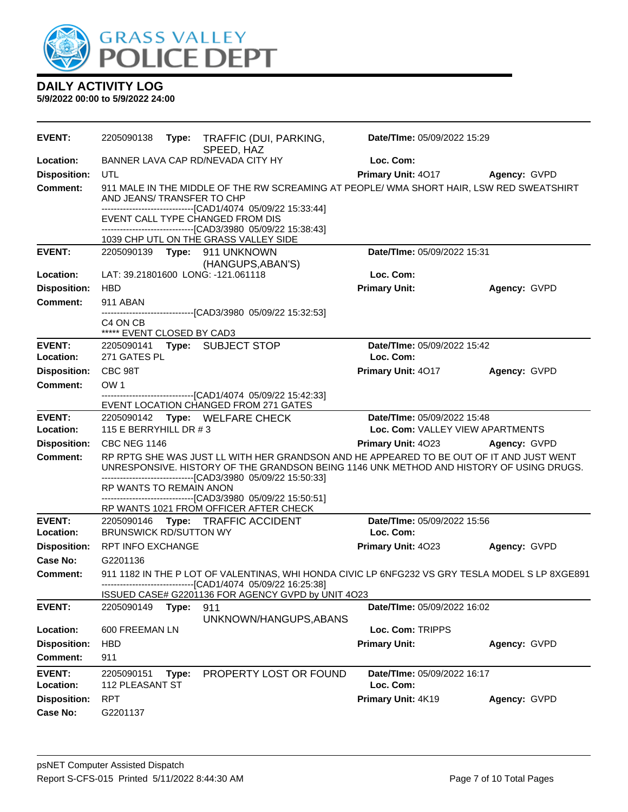

| <b>EVENT:</b>       | 2205090138                             |       | Type: TRAFFIC (DUI, PARKING,<br>SPEED, HAZ                                                                                                                                         | Date/TIme: 05/09/2022 15:29      |              |
|---------------------|----------------------------------------|-------|------------------------------------------------------------------------------------------------------------------------------------------------------------------------------------|----------------------------------|--------------|
| <b>Location:</b>    |                                        |       | BANNER LAVA CAP RD/NEVADA CITY HY                                                                                                                                                  | Loc. Com:                        |              |
| <b>Disposition:</b> | UTL                                    |       |                                                                                                                                                                                    | <b>Primary Unit: 4017</b>        | Agency: GVPD |
| <b>Comment:</b>     | AND JEANS/ TRANSFER TO CHP             |       | 911 MALE IN THE MIDDLE OF THE RW SCREAMING AT PEOPLE/ WMA SHORT HAIR, LSW RED SWEATSHIRT<br>-------------------------------[CAD1/4074_05/09/22_15:33:44]                           |                                  |              |
|                     |                                        |       | EVENT CALL TYPE CHANGED FROM DIS                                                                                                                                                   |                                  |              |
|                     |                                        |       | ------------------------[CAD3/3980 05/09/22 15:38:43]                                                                                                                              |                                  |              |
| <b>EVENT:</b>       |                                        |       | 1039 CHP UTL ON THE GRASS VALLEY SIDE                                                                                                                                              | Date/TIme: 05/09/2022 15:31      |              |
|                     |                                        |       | (HANGUPS, ABAN'S)                                                                                                                                                                  |                                  |              |
| Location:           |                                        |       | LAT: 39.21801600 LONG: -121.061118                                                                                                                                                 | Loc. Com:                        |              |
| <b>Disposition:</b> | <b>HBD</b>                             |       |                                                                                                                                                                                    | <b>Primary Unit:</b>             | Agency: GVPD |
| <b>Comment:</b>     | 911 ABAN                               |       |                                                                                                                                                                                    |                                  |              |
|                     |                                        |       | -------------------------------[CAD3/3980_05/09/22_15:32:53]                                                                                                                       |                                  |              |
|                     | C4 ON CB<br>***** EVENT CLOSED BY CAD3 |       |                                                                                                                                                                                    |                                  |              |
| <b>EVENT:</b>       |                                        |       | 2205090141 Type: SUBJECT STOP                                                                                                                                                      | Date/TIme: 05/09/2022 15:42      |              |
| <b>Location:</b>    | 271 GATES PL                           |       |                                                                                                                                                                                    | Loc. Com:                        |              |
| <b>Disposition:</b> | CBC 98T                                |       |                                                                                                                                                                                    | Primary Unit: 4017               | Agency: GVPD |
| Comment:            | OW 1                                   |       |                                                                                                                                                                                    |                                  |              |
|                     |                                        |       | -------------------------------[CAD1/4074 05/09/22 15:42:33]                                                                                                                       |                                  |              |
| <b>EVENT:</b>       |                                        |       | EVENT LOCATION CHANGED FROM 271 GATES<br>2205090142 Type: WELFARE CHECK                                                                                                            | Date/TIme: 05/09/2022 15:48      |              |
| Location:           | 115 E BERRYHILL DR #3                  |       |                                                                                                                                                                                    | Loc. Com: VALLEY VIEW APARTMENTS |              |
| <b>Disposition:</b> | <b>CBC NEG 1146</b>                    |       |                                                                                                                                                                                    | <b>Primary Unit: 4023</b>        | Agency: GVPD |
| <b>Comment:</b>     |                                        |       | RP RPTG SHE WAS JUST LL WITH HER GRANDSON AND HE APPEARED TO BE OUT OF IT AND JUST WENT<br>UNRESPONSIVE. HISTORY OF THE GRANDSON BEING 1146 UNK METHOD AND HISTORY OF USING DRUGS. |                                  |              |
|                     | RP WANTS TO REMAIN ANON                |       | -------------------------------[CAD3/3980 05/09/22 15:50:33]                                                                                                                       |                                  |              |
|                     |                                        |       | -------------------------------[CAD3/3980 05/09/22 15:50:51]                                                                                                                       |                                  |              |
| <b>EVENT:</b>       |                                        |       | RP WANTS 1021 FROM OFFICER AFTER CHECK<br>2205090146 Type: TRAFFIC ACCIDENT                                                                                                        | Date/TIme: 05/09/2022 15:56      |              |
| Location:           | <b>BRUNSWICK RD/SUTTON WY</b>          |       |                                                                                                                                                                                    | Loc. Com:                        |              |
| <b>Disposition:</b> | <b>RPT INFO EXCHANGE</b>               |       |                                                                                                                                                                                    | Primary Unit: 4023               | Agency: GVPD |
| Case No:            | G2201136                               |       |                                                                                                                                                                                    |                                  |              |
| <b>Comment:</b>     |                                        |       | 911 1182 IN THE P LOT OF VALENTINAS, WHI HONDA CIVIC LP 6NFG232 VS GRY TESLA MODEL S LP 8XGE891                                                                                    |                                  |              |
|                     |                                        |       | ISSUED CASE# G2201136 FOR AGENCY GVPD by UNIT 4O23                                                                                                                                 |                                  |              |
| <b>EVENT:</b>       | 2205090149                             | Type: | 911                                                                                                                                                                                | Date/TIme: 05/09/2022 16:02      |              |
| Location:           | 600 FREEMAN LN                         |       | UNKNOWN/HANGUPS, ABANS                                                                                                                                                             | Loc. Com: TRIPPS                 |              |
| <b>Disposition:</b> | <b>HBD</b>                             |       |                                                                                                                                                                                    | <b>Primary Unit:</b>             | Agency: GVPD |
| <b>Comment:</b>     | 911                                    |       |                                                                                                                                                                                    |                                  |              |
| <b>EVENT:</b>       | 2205090151                             | Type: | PROPERTY LOST OR FOUND                                                                                                                                                             | Date/TIme: 05/09/2022 16:17      |              |
| Location:           | 112 PLEASANT ST                        |       |                                                                                                                                                                                    | Loc. Com:                        |              |
| <b>Disposition:</b> | <b>RPT</b>                             |       |                                                                                                                                                                                    | Primary Unit: 4K19               | Agency: GVPD |
| <b>Case No:</b>     | G2201137                               |       |                                                                                                                                                                                    |                                  |              |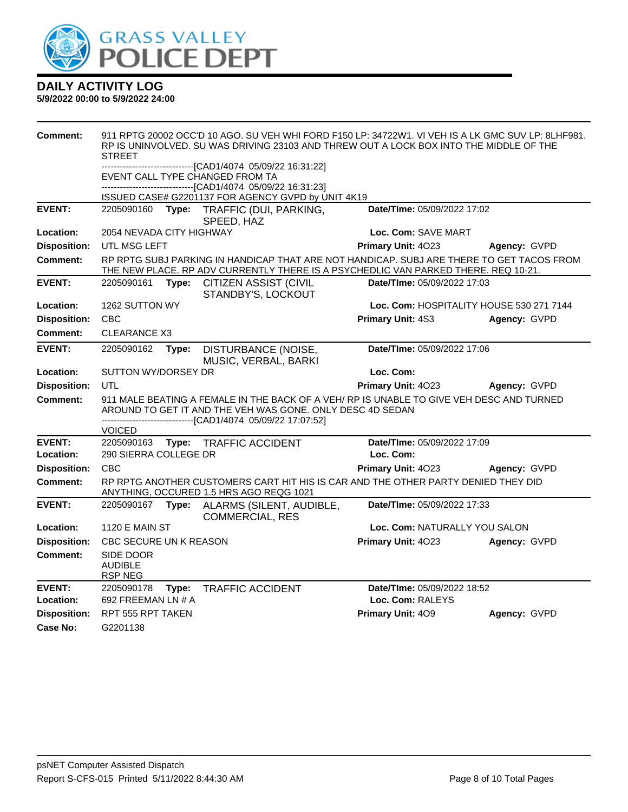

| Comment:            |                                               |       | 911 RPTG 20002 OCC'D 10 AGO. SU VEH WHI FORD F150 LP: 34722W1. VI VEH IS A LK GMC SUV LP: 8LHF981.<br>RP IS UNINVOLVED. SU WAS DRIVING 23103 AND THREW OUT A LOCK BOX INTO THE MIDDLE OF THE |                               |                                          |
|---------------------|-----------------------------------------------|-------|----------------------------------------------------------------------------------------------------------------------------------------------------------------------------------------------|-------------------------------|------------------------------------------|
|                     | <b>STREET</b>                                 |       |                                                                                                                                                                                              |                               |                                          |
|                     |                                               |       | ------------------------[CAD1/4074_05/09/22 16:31:22]                                                                                                                                        |                               |                                          |
|                     |                                               |       | EVENT CALL TYPE CHANGED FROM TA                                                                                                                                                              |                               |                                          |
|                     |                                               |       | --------------------[CAD1/4074_05/09/22 16:31:23]<br>ISSUED CASE# G2201137 FOR AGENCY GVPD by UNIT 4K19                                                                                      |                               |                                          |
| <b>EVENT:</b>       | 2205090160                                    | Type: | TRAFFIC (DUI, PARKING,                                                                                                                                                                       | Date/TIme: 05/09/2022 17:02   |                                          |
|                     |                                               |       | SPEED, HAZ                                                                                                                                                                                   |                               |                                          |
| Location:           | 2054 NEVADA CITY HIGHWAY                      |       |                                                                                                                                                                                              | Loc. Com: SAVE MART           |                                          |
| <b>Disposition:</b> | UTL MSG LEFT                                  |       |                                                                                                                                                                                              | <b>Primary Unit: 4023</b>     | Agency: GVPD                             |
| <b>Comment:</b>     |                                               |       | RP RPTG SUBJ PARKING IN HANDICAP THAT ARE NOT HANDICAP. SUBJ ARE THERE TO GET TACOS FROM<br>THE NEW PLACE. RP ADV CURRENTLY THERE IS A PSYCHEDLIC VAN PARKED THERE. REQ 10-21.               |                               |                                          |
| <b>EVENT:</b>       | 2205090161                                    |       | Type: CITIZEN ASSIST (CIVIL<br>STANDBY'S, LOCKOUT                                                                                                                                            | Date/TIme: 05/09/2022 17:03   |                                          |
| Location:           | 1262 SUTTON WY                                |       |                                                                                                                                                                                              |                               | Loc. Com: HOSPITALITY HOUSE 530 271 7144 |
| <b>Disposition:</b> | <b>CBC</b>                                    |       |                                                                                                                                                                                              | Primary Unit: 4S3             | Agency: GVPD                             |
| Comment:            | <b>CLEARANCE X3</b>                           |       |                                                                                                                                                                                              |                               |                                          |
| <b>EVENT:</b>       | 2205090162                                    | Type: | DISTURBANCE (NOISE,<br>MUSIC, VERBAL, BARKI                                                                                                                                                  | Date/TIme: 05/09/2022 17:06   |                                          |
| Location:           | SUTTON WY/DORSEY DR                           |       |                                                                                                                                                                                              | Loc. Com:                     |                                          |
|                     |                                               |       |                                                                                                                                                                                              |                               |                                          |
| <b>Disposition:</b> | <b>UTL</b>                                    |       |                                                                                                                                                                                              | Primary Unit: 4023            | Agency: GVPD                             |
| <b>Comment:</b>     |                                               |       | 911 MALE BEATING A FEMALE IN THE BACK OF A VEH/ RP IS UNABLE TO GIVE VEH DESC AND TURNED                                                                                                     |                               |                                          |
|                     |                                               |       | AROUND TO GET IT AND THE VEH WAS GONE. ONLY DESC 4D SEDAN                                                                                                                                    |                               |                                          |
|                     | <b>VOICED</b>                                 |       | -----------------[CAD1/4074 05/09/22 17:07:52]                                                                                                                                               |                               |                                          |
| <b>EVENT:</b>       | 2205090163                                    |       | Type: TRAFFIC ACCIDENT                                                                                                                                                                       | Date/TIme: 05/09/2022 17:09   |                                          |
| Location:           | 290 SIERRA COLLEGE DR                         |       |                                                                                                                                                                                              | Loc. Com:                     |                                          |
| <b>Disposition:</b> | <b>CBC</b>                                    |       |                                                                                                                                                                                              | Primary Unit: 4023            | Agency: GVPD                             |
| <b>Comment:</b>     |                                               |       | RP RPTG ANOTHER CUSTOMERS CART HIT HIS IS CAR AND THE OTHER PARTY DENIED THEY DID<br>ANYTHING, OCCURED 1.5 HRS AGO REQG 1021                                                                 |                               |                                          |
| <b>EVENT:</b>       | 2205090167                                    | Type: | ALARMS (SILENT, AUDIBLE,                                                                                                                                                                     | Date/TIme: 05/09/2022 17:33   |                                          |
| Location:           | <b>1120 E MAIN ST</b>                         |       | <b>COMMERCIAL, RES</b>                                                                                                                                                                       | Loc. Com: NATURALLY YOU SALON |                                          |
| <b>Disposition:</b> | CBC SECURE UN K REASON                        |       |                                                                                                                                                                                              | Primary Unit: 4023            | Agency: GVPD                             |
| Comment:            | SIDE DOOR<br><b>AUDIBLE</b><br><b>RSP NEG</b> |       |                                                                                                                                                                                              |                               |                                          |
| <b>EVENT:</b>       | 2205090178                                    | Type: | <b>TRAFFIC ACCIDENT</b>                                                                                                                                                                      | Date/TIme: 05/09/2022 18:52   |                                          |
| Location:           | 692 FREEMAN LN # A                            |       |                                                                                                                                                                                              | Loc. Com: RALEYS              |                                          |
| <b>Disposition:</b> | RPT 555 RPT TAKEN                             |       |                                                                                                                                                                                              | Primary Unit: 409             | Agency: GVPD                             |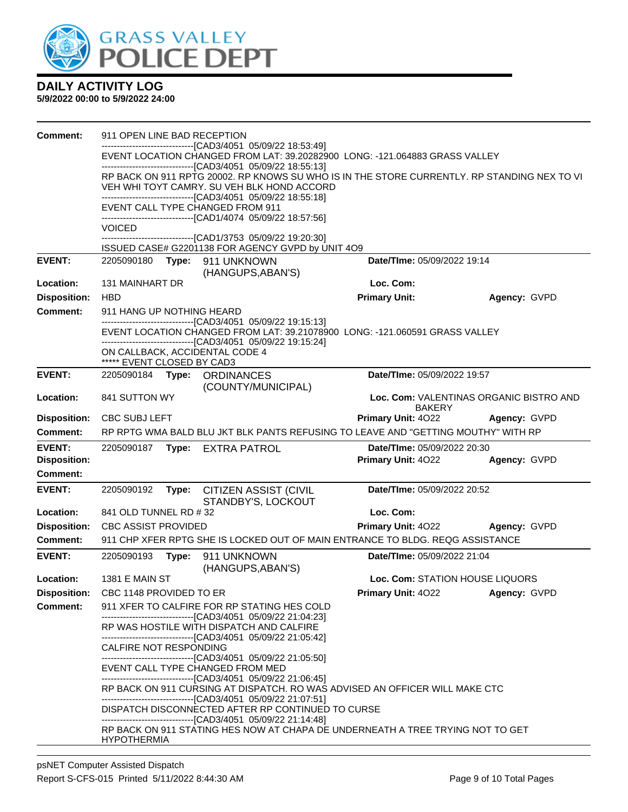

| <b>Comment:</b>     | 911 OPEN LINE BAD RECEPTION |       |                                                                                                                                                                    |                                                                                             |                                         |
|---------------------|-----------------------------|-------|--------------------------------------------------------------------------------------------------------------------------------------------------------------------|---------------------------------------------------------------------------------------------|-----------------------------------------|
|                     |                             |       | --------------------------[CAD3/4051_05/09/22 18:53:49]                                                                                                            | EVENT LOCATION CHANGED FROM LAT: 39.20282900 LONG: -121.064883 GRASS VALLEY                 |                                         |
|                     |                             |       | --------------------------------[CAD3/4051 05/09/22 18:55:13]                                                                                                      |                                                                                             |                                         |
|                     |                             |       | VEH WHI TOYT CAMRY. SU VEH BLK HOND ACCORD                                                                                                                         | RP BACK ON 911 RPTG 20002. RP KNOWS SU WHO IS IN THE STORE CURRENTLY. RP STANDING NEX TO VI |                                         |
|                     |                             |       | --------------------------------[CAD3/4051 05/09/22 18:55:18]                                                                                                      |                                                                                             |                                         |
|                     |                             |       | EVENT CALL TYPE CHANGED FROM 911                                                                                                                                   |                                                                                             |                                         |
|                     | <b>VOICED</b>               |       | ----------------------------[CAD1/4074_05/09/22 18:57:56]                                                                                                          |                                                                                             |                                         |
|                     |                             |       | -------------------------------[CAD1/3753 05/09/22 19:20:30]                                                                                                       |                                                                                             |                                         |
|                     |                             |       | ISSUED CASE# G2201138 FOR AGENCY GVPD by UNIT 4O9                                                                                                                  |                                                                                             |                                         |
| <b>EVENT:</b>       |                             |       | 2205090180 Type: 911 UNKNOWN<br>(HANGUPS, ABAN'S)                                                                                                                  | Date/TIme: 05/09/2022 19:14                                                                 |                                         |
| Location:           | 131 MAINHART DR             |       |                                                                                                                                                                    | Loc. Com:                                                                                   |                                         |
| <b>Disposition:</b> | <b>HBD</b>                  |       |                                                                                                                                                                    | <b>Primary Unit:</b>                                                                        | Agency: GVPD                            |
| <b>Comment:</b>     | 911 HANG UP NOTHING HEARD   |       |                                                                                                                                                                    |                                                                                             |                                         |
|                     |                             |       | --------------------------------[CAD3/4051 05/09/22 19:15:13]                                                                                                      |                                                                                             |                                         |
|                     |                             |       | ---------------------[CAD3/4051_05/09/22 19:15:24]                                                                                                                 | EVENT LOCATION CHANGED FROM LAT: 39.21078900 LONG: -121.060591 GRASS VALLEY                 |                                         |
|                     |                             |       | ON CALLBACK, ACCIDENTAL CODE 4                                                                                                                                     |                                                                                             |                                         |
|                     | ***** EVENT CLOSED BY CAD3  |       |                                                                                                                                                                    |                                                                                             |                                         |
| <b>EVENT:</b>       | 2205090184                  |       | Type: ORDINANCES<br>(COUNTY/MUNICIPAL)                                                                                                                             | Date/TIme: 05/09/2022 19:57                                                                 |                                         |
| Location:           | 841 SUTTON WY               |       |                                                                                                                                                                    |                                                                                             | Loc. Com: VALENTINAS ORGANIC BISTRO AND |
|                     |                             |       |                                                                                                                                                                    | <b>BAKERY</b>                                                                               |                                         |
| <b>Disposition:</b> | <b>CBC SUBJ LEFT</b>        |       |                                                                                                                                                                    | <b>Primary Unit: 4022</b>                                                                   | Agency: GVPD                            |
| Comment:            |                             |       |                                                                                                                                                                    | RP RPTG WMA BALD BLU JKT BLK PANTS REFUSING TO LEAVE AND "GETTING MOUTHY" WITH RP           |                                         |
| <b>EVENT:</b>       | 2205090187                  |       | Type: EXTRA PATROL                                                                                                                                                 | Date/TIme: 05/09/2022 20:30                                                                 |                                         |
| <b>Disposition:</b> |                             |       |                                                                                                                                                                    | Primary Unit: 4022                                                                          | Agency: GVPD                            |
| Comment:            |                             |       |                                                                                                                                                                    |                                                                                             |                                         |
| <b>EVENT:</b>       | 2205090192                  | Type: | <b>CITIZEN ASSIST (CIVIL</b><br>STANDBY'S, LOCKOUT                                                                                                                 | Date/TIme: 05/09/2022 20:52                                                                 |                                         |
| Location:           | 841 OLD TUNNEL RD #32       |       |                                                                                                                                                                    | Loc. Com:                                                                                   |                                         |
| <b>Disposition:</b> | <b>CBC ASSIST PROVIDED</b>  |       |                                                                                                                                                                    | Primary Unit: 4022                                                                          | Agency: GVPD                            |
| <b>Comment:</b>     |                             |       |                                                                                                                                                                    | 911 CHP XFER RPTG SHE IS LOCKED OUT OF MAIN ENTRANCE TO BLDG. REQG ASSISTANCE               |                                         |
| <b>EVENT:</b>       | 2205090193                  |       | Type: 911 UNKNOWN<br>(HANGUPS, ABAN'S)                                                                                                                             | Date/TIme: 05/09/2022 21:04                                                                 |                                         |
| Location:           | <b>1381 E MAIN ST</b>       |       |                                                                                                                                                                    | Loc. Com: STATION HOUSE LIQUORS                                                             |                                         |
| <b>Disposition:</b> | CBC 1148 PROVIDED TO ER     |       |                                                                                                                                                                    | Primary Unit: 4022                                                                          | Agency: GVPD                            |
| <b>Comment:</b>     |                             |       | 911 XFER TO CALFIRE FOR RP STATING HES COLD                                                                                                                        |                                                                                             |                                         |
|                     |                             |       | -------------------------------[CAD3/4051 05/09/22 21:04:23]<br>RP WAS HOSTILE WITH DISPATCH AND CALFIRE                                                           |                                                                                             |                                         |
|                     | CALFIRE NOT RESPONDING      |       | --------------------------------[CAD3/4051 05/09/22 21:05:42]                                                                                                      |                                                                                             |                                         |
|                     |                             |       | --------------------------------[CAD3/4051 05/09/22 21:05:50]<br>EVENT CALL TYPE CHANGED FROM MED<br>--------------------------------[CAD3/4051 05/09/22 21:06:45] |                                                                                             |                                         |
|                     |                             |       | --------------------------------[CAD3/4051 05/09/22 21:07:51]                                                                                                      | RP BACK ON 911 CURSING AT DISPATCH. RO WAS ADVISED AN OFFICER WILL MAKE CTC                 |                                         |
|                     |                             |       | DISPATCH DISCONNECTED AFTER RP CONTINUED TO CURSE<br>--------------------------------[CAD3/4051 05/09/22 21:14:48]                                                 |                                                                                             |                                         |
|                     | <b>HYPOTHERMIA</b>          |       |                                                                                                                                                                    | RP BACK ON 911 STATING HES NOW AT CHAPA DE UNDERNEATH A TREE TRYING NOT TO GET              |                                         |